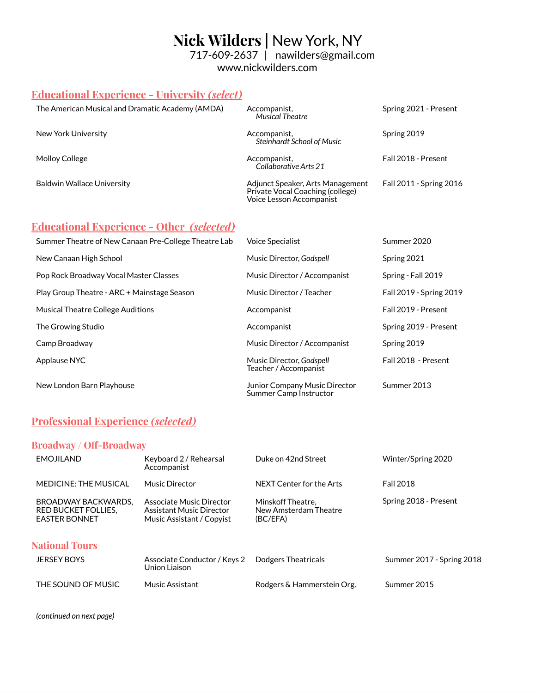# **Nick Wilders |** New York, NY 717-609-2637 | nawilders@gmail.com

www.nickwilders.com

## **Educational Experience - University** *(select)*

| The American Musical and Dramatic Academy (AMDA) | Accompanist,<br><b>Musical Theatre</b>                                                           | Spring 2021 - Present   |
|--------------------------------------------------|--------------------------------------------------------------------------------------------------|-------------------------|
| New York University                              | Accompanist,<br><b>Steinhardt School of Music</b>                                                | Spring 2019             |
| Molloy College                                   | Accompanist,<br>Collaborative Arts 21                                                            | Fall 2018 - Present     |
| <b>Baldwin Wallace University</b>                | Adjunct Speaker, Arts Management<br>Private Vocal Coaching (college)<br>Voice Lesson Accompanist | Fall 2011 - Spring 2016 |

### **Educational Experience - Other** *(selected)*

| Summer Theatre of New Canaan Pre-College Theatre Lab | <b>Voice Specialist</b>                                        | Summer 2020             |
|------------------------------------------------------|----------------------------------------------------------------|-------------------------|
| New Canaan High School                               | Music Director, Godspell                                       | Spring 2021             |
| Pop Rock Broadway Vocal Master Classes               | Music Director / Accompanist                                   | Spring - Fall 2019      |
| Play Group Theatre - ARC + Mainstage Season          | Music Director / Teacher                                       | Fall 2019 - Spring 2019 |
| <b>Musical Theatre College Auditions</b>             | Accompanist                                                    | Fall 2019 - Present     |
| The Growing Studio                                   | Accompanist                                                    | Spring 2019 - Present   |
| Camp Broadway                                        | Music Director / Accompanist                                   | Spring 2019             |
| Applause NYC                                         | Music Director, Godspell<br>Teacher / Accompanist              | Fall 2018 - Present     |
| New London Barn Playhouse                            | <b>Junior Company Music Director</b><br>Summer Camp Instructor | Summer 2013             |

## **Professional Experience** *(selected)*

### **Broadway / Off-Broadway**

| <b>EMOJILAND</b>                                                          | Keyboard 2 / Rehearsal<br>Accompanist                                             | Duke on 42nd Street                                    | Winter/Spring 2020        |
|---------------------------------------------------------------------------|-----------------------------------------------------------------------------------|--------------------------------------------------------|---------------------------|
| <b>MEDICINE: THE MUSICAL</b>                                              | <b>Music Director</b>                                                             | NFXT Center for the Arts                               | <b>Fall 2018</b>          |
| BROADWAY BACKWARDS.<br><b>RED BUCKET FOLLIES,</b><br><b>EASTER BONNET</b> | Associate Music Director<br>Assistant Music Director<br>Music Assistant / Copyist | Minskoff Theatre.<br>New Amsterdam Theatre<br>(BC/EFA) | Spring 2018 - Present     |
| <b>National Tours</b><br><b>JERSEY BOYS</b>                               | Associate Conductor / Keys 2<br>Union Liaison                                     | Dodgers Theatricals                                    | Summer 2017 - Spring 2018 |
| THE SOUND OF MUSIC                                                        | <b>Music Assistant</b>                                                            | Rodgers & Hammerstein Org.                             | Summer 2015               |

*(continued on next page)*